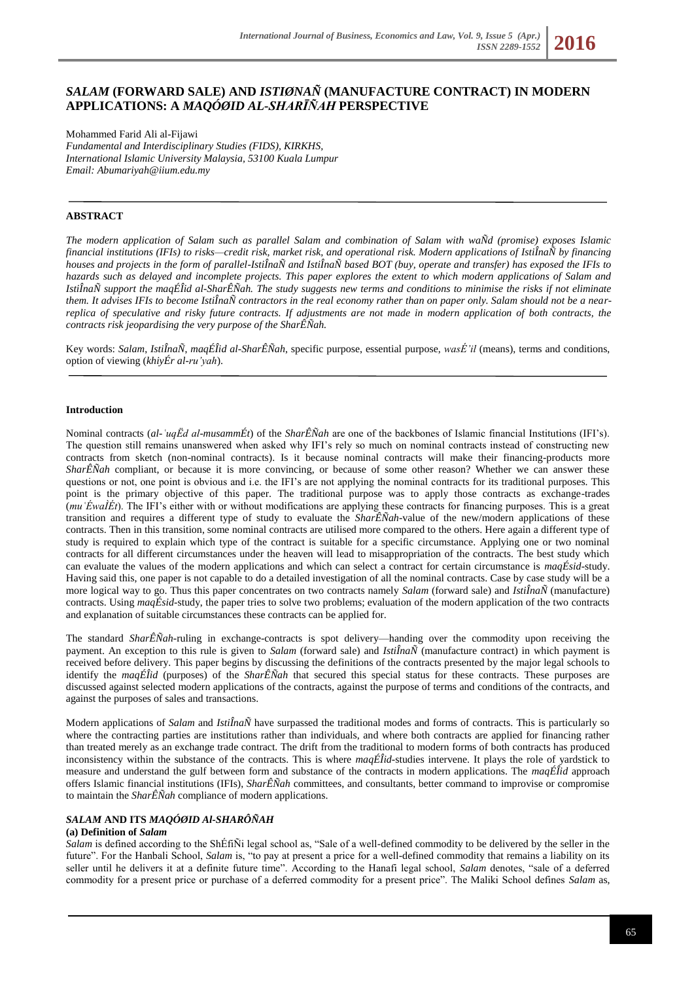# *SALAM* **(FORWARD SALE) AND** *ISTIØNAÑ* **(MANUFACTURE CONTRACT) IN MODERN APPLICATIONS: A** *MAQÓØID AL-SHARĪÑAH* **PERSPECTIVE**

Mohammed Farid Ali al-Fijawi *Fundamental and Interdisciplinary Studies (FIDS), KIRKHS, International Islamic University Malaysia, 53100 Kuala Lumpur Email[: Abumariyah@iium.edu.my](mailto:Abumariyah@iium.edu.my)*

# **ABSTRACT**

*The modern application of Salam such as parallel Salam and combination of Salam with waÑd (promise) exposes Islamic financial institutions (IFIs) to risks—credit risk, market risk, and operational risk. Modern applications of IstiÎnaÑ by financing houses and projects in the form of parallel-IstiÎnaÑ and IstiÎnaÑ based BOT (buy, operate and transfer) has exposed the IFIs to hazards such as delayed and incomplete projects. This paper explores the extent to which modern applications of Salam and IstiÎnaÑ support the maqÉÎid al-SharÊÑah. The study suggests new terms and conditions to minimise the risks if not eliminate them. It advises IFIs to become IstiÎnaÑ contractors in the real economy rather than on paper only. Salam should not be a nearreplica of speculative and risky future contracts. If adjustments are not made in modern application of both contracts, the contracts risk jeopardising the very purpose of the SharÊÑah.*

Key words: *Salam*, *IstiÎnaÑ*, *maqÉÎid al-SharÊÑah*, specific purpose, essential purpose, *wasÉ'il* (means), terms and conditions, option of viewing (*khiyÉr al-ru'yah*).

#### **Introduction**

Nominal contracts (*al-ʿuqËd al-musammÉt*) of the *SharÊÑah* are one of the backbones of Islamic financial Institutions (IFI's). The question still remains unanswered when asked why IFI's rely so much on nominal contracts instead of constructing new contracts from sketch (non-nominal contracts). Is it because nominal contracts will make their financing-products more *SharÊÑah* compliant, or because it is more convincing, or because of some other reason? Whether we can answer these questions or not, one point is obvious and i.e. the IFI's are not applying the nominal contracts for its traditional purposes. This point is the primary objective of this paper. The traditional purpose was to apply those contracts as exchange-trades (*muʿÉwaÌÉt*). The IFI's either with or without modifications are applying these contracts for financing purposes. This is a great transition and requires a different type of study to evaluate the *SharÊÑah-*value of the new/modern applications of these contracts. Then in this transition, some nominal contracts are utilised more compared to the others. Here again a different type of study is required to explain which type of the contract is suitable for a specific circumstance. Applying one or two nominal contracts for all different circumstances under the heaven will lead to misappropriation of the contracts. The best study which can evaluate the values of the modern applications and which can select a contract for certain circumstance is *maqÉsid*-study. Having said this, one paper is not capable to do a detailed investigation of all the nominal contracts. Case by case study will be a more logical way to go. Thus this paper concentrates on two contracts namely *Salam* (forward sale) and *IstiÎnaÑ* (manufacture) contracts. Using *maqÉsid*-study, the paper tries to solve two problems; evaluation of the modern application of the two contracts and explanation of suitable circumstances these contracts can be applied for.

The standard *SharÊÑah*-ruling in exchange-contracts is spot delivery—handing over the commodity upon receiving the payment. An exception to this rule is given to *Salam* (forward sale) and *IstiÎnaÑ* (manufacture contract) in which payment is received before delivery. This paper begins by discussing the definitions of the contracts presented by the major legal schools to identify the *maqÉÎid* (purposes) of the *SharÊÑah* that secured this special status for these contracts. These purposes are discussed against selected modern applications of the contracts, against the purpose of terms and conditions of the contracts, and against the purposes of sales and transactions.

Modern applications of *Salam* and *IstiÎnaÑ* have surpassed the traditional modes and forms of contracts. This is particularly so where the contracting parties are institutions rather than individuals, and where both contracts are applied for financing rather than treated merely as an exchange trade contract. The drift from the traditional to modern forms of both contracts has produced inconsistency within the substance of the contracts. This is where *maqÉÎid*-studies intervene. It plays the role of yardstick to measure and understand the gulf between form and substance of the contracts in modern applications. The *maqÉÎid* approach offers Islamic financial institutions (IFIs), *SharÊÑah* committees, and consultants, better command to improvise or compromise to maintain the *SharÊÑah* compliance of modern applications.

## *SALAM* **AND ITS** *MAQÓØID Al-SHARÔÑAH*

#### **(a) Definition of** *Salam*

*Salam* is defined according to the ShÉfiÑi legal school as, "Sale of a well-defined commodity to be delivered by the seller in the future". For the Hanbali School, *Salam* is, "to pay at present a price for a well-defined commodity that remains a liability on its seller until he delivers it at a definite future time". According to the Hanafi legal school, *Salam* denotes, "sale of a deferred commodity for a present price or purchase of a deferred commodity for a present price". The Maliki School defines *Salam* as,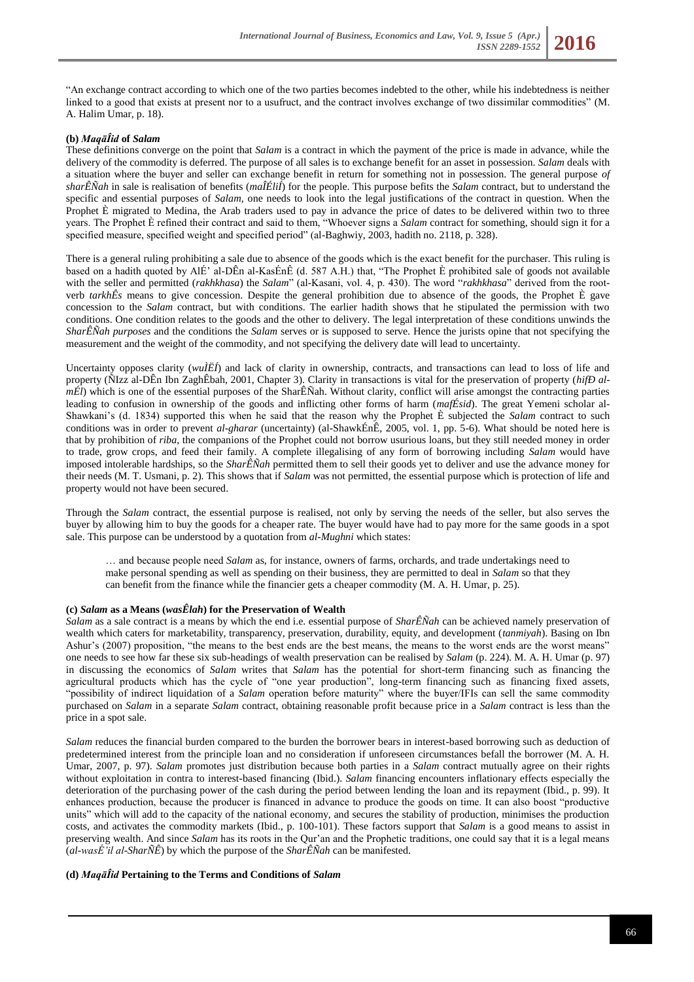"An exchange contract according to which one of the two parties becomes indebted to the other, while his indebtedness is neither linked to a good that exists at present nor to a usufruct, and the contract involves exchange of two dissimilar commodities" (M. A. Halim Umar, p. 18).

# **(b)** *MaqāÎid* **of** *Salam*

These definitions converge on the point that *Salam* is a contract in which the payment of the price is made in advance, while the delivery of the commodity is deferred. The purpose of all sales is to exchange benefit for an asset in possession. *Salam* deals with a situation where the buyer and seller can exchange benefit in return for something not in possession. The general purpose *of sharÊÑah* in sale is realisation of benefits (*maÎÉliÍ*) for the people. This purpose befits the *Salam* contract, but to understand the specific and essential purposes of *Salam*, one needs to look into the legal justifications of the contract in question. When the Prophet È migrated to Medina, the Arab traders used to pay in advance the price of dates to be delivered within two to three years. The Prophet È refined their contract and said to them, "Whoever signs a *Salam* contract for something, should sign it for a specified measure, specified weight and specified period" (al-Baghwiy, 2003, hadith no. 2118, p. 328).

There is a general ruling prohibiting a sale due to absence of the goods which is the exact benefit for the purchaser. This ruling is based on a hadith quoted by AlÉ' al-DÊn al-KasÉnÊ (d. 587 A.H.) that, "The Prophet È prohibited sale of goods not available with the seller and permitted (*rakhkhasa*) the *Salam*" (al-Kasani, vol. 4, p. 430). The word "*rakhkhasa*" derived from the rootverb *tarkhÊs* means to give concession. Despite the general prohibition due to absence of the goods, the Prophet È gave concession to the *Salam* contract, but with conditions. The earlier hadith shows that he stipulated the permission with two conditions. One condition relates to the goods and the other to delivery. The legal interpretation of these conditions unwinds the *SharÊÑah purposes* and the conditions the *Salam* serves or is supposed to serve. Hence the jurists opine that not specifying the measurement and the weight of the commodity, and not specifying the delivery date will lead to uncertainty.

Uncertainty opposes clarity (*wuÌËÍ*) and lack of clarity in ownership, contracts, and transactions can lead to loss of life and property (ÑIzz al-DÊn Ibn ZaghÊbah, 2001, Chapter 3). Clarity in transactions is vital for the preservation of property (*hifÐ almÉl*) which is one of the essential purposes of the SharÊÑah. Without clarity, conflict will arise amongst the contracting parties leading to confusion in ownership of the goods and inflicting other forms of harm (*mafÉsid*). The great Yemeni scholar al-Shawkani's (d. 1834) supported this when he said that the reason why the Prophet È subjected the *Salam* contract to such conditions was in order to prevent *al-gharar* (uncertainty) (al-ShawkÉnÊ, 2005, vol. 1, pp. 5-6). What should be noted here is that by prohibition of *riba*, the companions of the Prophet could not borrow usurious loans, but they still needed money in order to trade, grow crops, and feed their family. A complete illegalising of any form of borrowing including *Salam* would have imposed intolerable hardships, so the *SharÊÑah* permitted them to sell their goods yet to deliver and use the advance money for their needs (M. T. Usmani, p. 2). This shows that if *Salam* was not permitted, the essential purpose which is protection of life and property would not have been secured.

Through the *Salam* contract, the essential purpose is realised, not only by serving the needs of the seller, but also serves the buyer by allowing him to buy the goods for a cheaper rate. The buyer would have had to pay more for the same goods in a spot sale. This purpose can be understood by a quotation from *al-Mughni* which states:

… and because people need *Salam* as, for instance, owners of farms, orchards, and trade undertakings need to make personal spending as well as spending on their business, they are permitted to deal in *Salam* so that they can benefit from the finance while the financier gets a cheaper commodity (M. A. H. Umar, p. 25).

## **(c)** *Salam* **as a Means (***wasÊlah***) for the Preservation of Wealth**

*Salam* as a sale contract is a means by which the end i.e. essential purpose of *SharÊÑah* can be achieved namely preservation of wealth which caters for marketability, transparency, preservation, durability, equity, and development (*tanmiyah*). Basing on Ibn Ashur's (2007) proposition, "the means to the best ends are the best means, the means to the worst ends are the worst means" one needs to see how far these six sub-headings of wealth preservation can be realised by *Salam* (p. 224). M. A. H. Umar (p. 97) in discussing the economics of *Salam* writes that *Salam* has the potential for short-term financing such as financing the agricultural products which has the cycle of "one year production", long-term financing such as financing fixed assets, "possibility of indirect liquidation of a *Salam* operation before maturity" where the buyer/IFIs can sell the same commodity purchased on *Salam* in a separate *Salam* contract, obtaining reasonable profit because price in a *Salam* contract is less than the price in a spot sale.

*Salam* reduces the financial burden compared to the burden the borrower bears in interest-based borrowing such as deduction of predetermined interest from the principle loan and no consideration if unforeseen circumstances befall the borrower (M. A. H. Umar, 2007, p. 97). *Salam* promotes just distribution because both parties in a *Salam* contract mutually agree on their rights without exploitation in contra to interest-based financing (Ibid.). *Salam* financing encounters inflationary effects especially the deterioration of the purchasing power of the cash during the period between lending the loan and its repayment (Ibid., p. 99). It enhances production, because the producer is financed in advance to produce the goods on time. It can also boost "productive units" which will add to the capacity of the national economy, and secures the stability of production, minimises the production costs, and activates the commodity markets (Ibid., p. 100-101). These factors support that *Salam* is a good means to assist in preserving wealth. And since *Salam* has its roots in the Qur'an and the Prophetic traditions, one could say that it is a legal means (*al-wasÉ'il al-SharÑÊ*) by which the purpose of the *SharÊÑah* can be manifested.

## **(d)** *MaqāÎid* **Pertaining to the Terms and Conditions of** *Salam*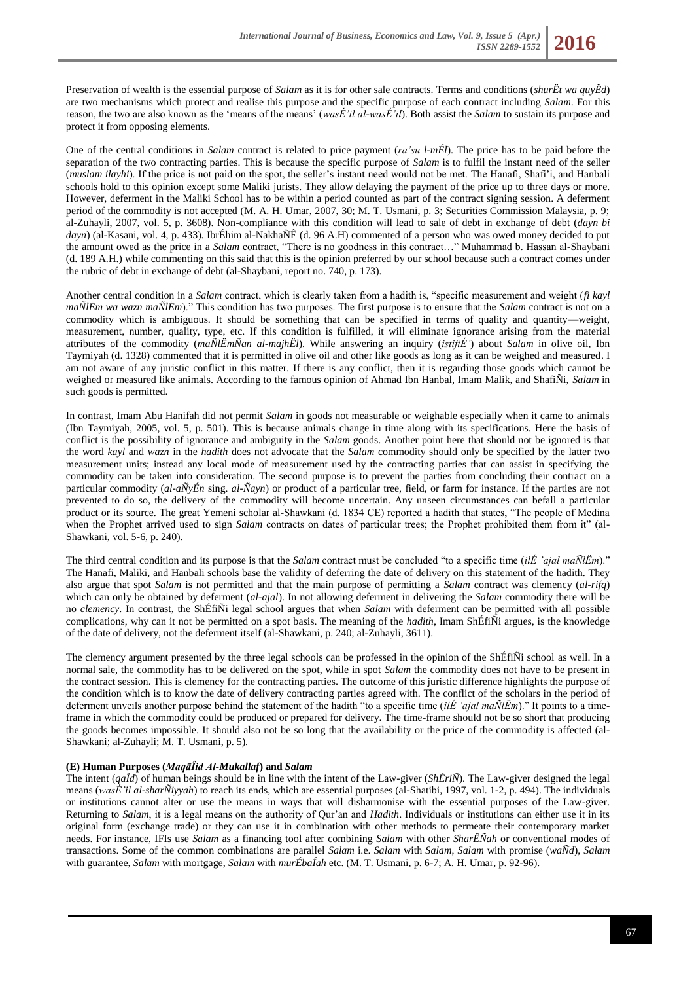Preservation of wealth is the essential purpose of *Salam* as it is for other sale contracts. Terms and conditions (*shurËt wa quyËd*) are two mechanisms which protect and realise this purpose and the specific purpose of each contract including *Salam*. For this reason, the two are also known as the 'means of the means' (*wasÉ'il al-wasÉ'il*). Both assist the *Salam* to sustain its purpose and protect it from opposing elements.

One of the central conditions in *Salam* contract is related to price payment (*ra'su l-mÉl*). The price has to be paid before the separation of the two contracting parties. This is because the specific purpose of *Salam* is to fulfil the instant need of the seller (*muslam ilayhi*). If the price is not paid on the spot, the seller's instant need would not be met. The Hanafi, Shafi'i, and Hanbali schools hold to this opinion except some Maliki jurists. They allow delaying the payment of the price up to three days or more. However, deferment in the Maliki School has to be within a period counted as part of the contract signing session. A deferment period of the commodity is not accepted (M. A. H. Umar, 2007, 30; M. T. Usmani, p. 3; Securities Commission Malaysia, p. 9; al-Zuhayli, 2007, vol. 5, p. 3608). Non-compliance with this condition will lead to sale of debt in exchange of debt (*dayn bi dayn*) (al-Kasani, vol. 4, p. 433). IbrÉhim al-NakhaÑÊ (d. 96 A.H) commented of a person who was owed money decided to put the amount owed as the price in a *Salam* contract, "There is no goodness in this contract…" Muhammad b. Hassan al-Shaybani (d. 189 A.H.) while commenting on this said that this is the opinion preferred by our school because such a contract comes under the rubric of debt in exchange of debt (al-Shaybani, report no. 740, p. 173).

Another central condition in a *Salam* contract, which is clearly taken from a hadith is, "specific measurement and weight (*fi kayl maÑlËm wa wazn maÑlËm*)." This condition has two purposes. The first purpose is to ensure that the *Salam* contract is not on a commodity which is ambiguous. It should be something that can be specified in terms of quality and quantity—weight, measurement, number, quality, type, etc. If this condition is fulfilled, it will eliminate ignorance arising from the material attributes of the commodity (*maÑlËmÑan al-majhËl*). While answering an inquiry (*istiftÉ'*) about *Salam* in olive oil, Ibn Taymiyah (d. 1328) commented that it is permitted in olive oil and other like goods as long as it can be weighed and measured. I am not aware of any juristic conflict in this matter. If there is any conflict, then it is regarding those goods which cannot be weighed or measured like animals. According to the famous opinion of Ahmad Ibn Hanbal, Imam Malik, and ShafiÑi, *Salam* in such goods is permitted.

In contrast, Imam Abu Hanifah did not permit *Salam* in goods not measurable or weighable especially when it came to animals (Ibn Taymiyah, 2005, vol. 5, p. 501). This is because animals change in time along with its specifications. Here the basis of conflict is the possibility of ignorance and ambiguity in the *Salam* goods. Another point here that should not be ignored is that the word *kayl* and *wazn* in the *hadith* does not advocate that the *Salam* commodity should only be specified by the latter two measurement units; instead any local mode of measurement used by the contracting parties that can assist in specifying the commodity can be taken into consideration. The second purpose is to prevent the parties from concluding their contract on a particular commodity (*al-aÑyÉn* sing. *al-Ñayn*) or product of a particular tree, field, or farm for instance. If the parties are not prevented to do so, the delivery of the commodity will become uncertain. Any unseen circumstances can befall a particular product or its source. The great Yemeni scholar al-Shawkani (d. 1834 CE) reported a hadith that states, "The people of Medina when the Prophet arrived used to sign *Salam* contracts on dates of particular trees; the Prophet prohibited them from it" (al-Shawkani, vol. 5-6, p. 240).

The third central condition and its purpose is that the *Salam* contract must be concluded "to a specific time (*ilÉ 'ajal maÑlËm*)." The Hanafi, Maliki, and Hanbali schools base the validity of deferring the date of delivery on this statement of the hadith. They also argue that spot *Salam* is not permitted and that the main purpose of permitting a *Salam* contract was clemency (*al-rifq*) which can only be obtained by deferment (*al-ajal*). In not allowing deferment in delivering the *Salam* commodity there will be no *clemency*. In contrast, the ShÉfiÑi legal school argues that when *Salam* with deferment can be permitted with all possible complications, why can it not be permitted on a spot basis. The meaning of the *hadith*, Imam ShÉfiÑi argues, is the knowledge of the date of delivery, not the deferment itself (al-Shawkani, p. 240; al-Zuhayli, 3611).

The clemency argument presented by the three legal schools can be professed in the opinion of the ShÉfiÑi school as well. In a normal sale, the commodity has to be delivered on the spot, while in spot *Salam* the commodity does not have to be present in the contract session. This is clemency for the contracting parties. The outcome of this juristic difference highlights the purpose of the condition which is to know the date of delivery contracting parties agreed with. The conflict of the scholars in the period of deferment unveils another purpose behind the statement of the hadith "to a specific time (*ilÉ 'ajal maÑlËm*)." It points to a timeframe in which the commodity could be produced or prepared for delivery. The time-frame should not be so short that producing the goods becomes impossible. It should also not be so long that the availability or the price of the commodity is affected (al-Shawkani; al-Zuhayli; M. T. Usmani, p. 5).

## **(E) Human Purposes (***MaqāÎid Al-Mukallaf***) and** *Salam*

The intent (*qaÎd*) of human beings should be in line with the intent of the Law-giver (*ShÉriÑ*). The Law-giver designed the legal means (*wasÉ'il al-sharÑiyyah*) to reach its ends, which are essential purposes (al-Shatibi, 1997, vol. 1-2, p. 494). The individuals or institutions cannot alter or use the means in ways that will disharmonise with the essential purposes of the Law-giver. Returning to *Salam*, it is a legal means on the authority of Qur'an and *Hadith*. Individuals or institutions can either use it in its original form (exchange trade) or they can use it in combination with other methods to permeate their contemporary market needs. For instance, IFIs use *Salam* as a financing tool after combining *Salam* with other *SharÊÑah* or conventional modes of transactions. Some of the common combinations are parallel *Salam* i.e. *Salam* with *Salam*, *Salam* with promise (*waÑd*), *Salam* with guarantee, *Salam* with mortgage, *Salam* with *murÉbaÍah* etc. (M. T. Usmani, p. 6-7; A. H. Umar, p. 92-96).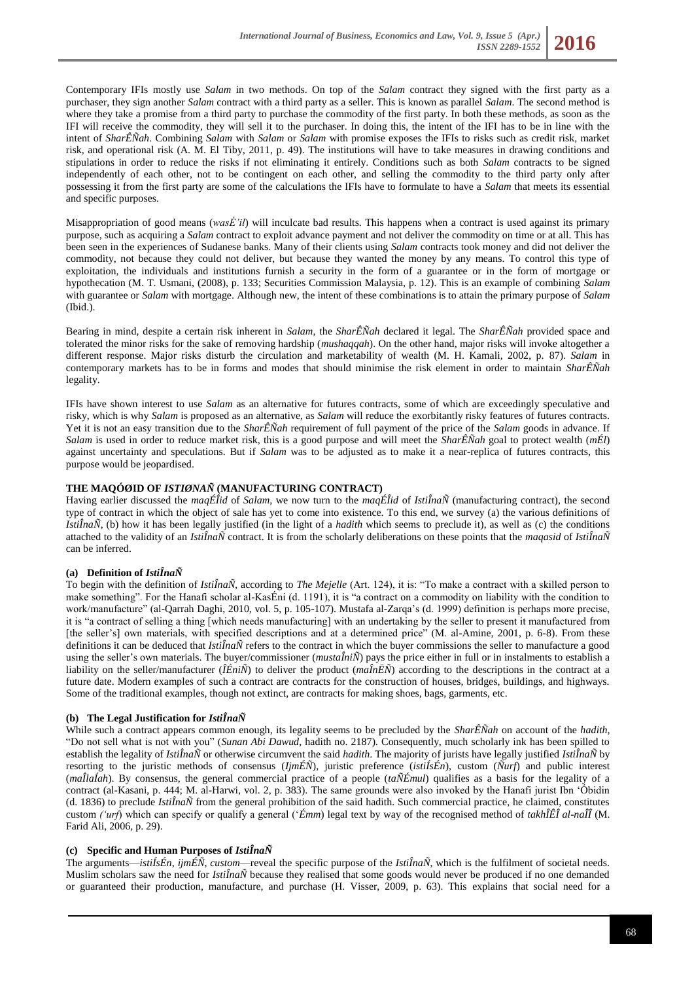Contemporary IFIs mostly use *Salam* in two methods. On top of the *Salam* contract they signed with the first party as a purchaser, they sign another *Salam* contract with a third party as a seller. This is known as parallel *Salam*. The second method is where they take a promise from a third party to purchase the commodity of the first party. In both these methods, as soon as the IFI will receive the commodity, they will sell it to the purchaser. In doing this, the intent of the IFI has to be in line with the intent of *SharÊÑah*. Combining *Salam* with *Salam* or *Salam* with promise exposes the IFIs to risks such as credit risk, market risk, and operational risk (A. M. El Tiby, 2011, p. 49). The institutions will have to take measures in drawing conditions and stipulations in order to reduce the risks if not eliminating it entirely. Conditions such as both *Salam* contracts to be signed independently of each other, not to be contingent on each other, and selling the commodity to the third party only after possessing it from the first party are some of the calculations the IFIs have to formulate to have a *Salam* that meets its essential and specific purposes.

Misappropriation of good means (*wasÉ'il*) will inculcate bad results. This happens when a contract is used against its primary purpose, such as acquiring a *Salam* contract to exploit advance payment and not deliver the commodity on time or at all. This has been seen in the experiences of Sudanese banks. Many of their clients using *Salam* contracts took money and did not deliver the commodity, not because they could not deliver, but because they wanted the money by any means. To control this type of exploitation, the individuals and institutions furnish a security in the form of a guarantee or in the form of mortgage or hypothecation (M. T. Usmani, (2008), p. 133; Securities Commission Malaysia, p. 12). This is an example of combining *Salam* with guarantee or *Salam* with mortgage. Although new, the intent of these combinations is to attain the primary purpose of *Salam* (Ibid.).

Bearing in mind, despite a certain risk inherent in *Salam*, the *SharÊÑah* declared it legal. The *SharÊÑah* provided space and tolerated the minor risks for the sake of removing hardship (*mushaqqah*). On the other hand, major risks will invoke altogether a different response. Major risks disturb the circulation and marketability of wealth (M. H. Kamali, 2002, p. 87). *Salam* in contemporary markets has to be in forms and modes that should minimise the risk element in order to maintain *SharÊÑah* legality.

IFIs have shown interest to use *Salam* as an alternative for futures contracts, some of which are exceedingly speculative and risky, which is why *Salam* is proposed as an alternative, as *Salam* will reduce the exorbitantly risky features of futures contracts. Yet it is not an easy transition due to the *SharÊÑah* requirement of full payment of the price of the *Salam* goods in advance. If *Salam* is used in order to reduce market risk, this is a good purpose and will meet the *SharÊÑah* goal to protect wealth (*mÉl*) against uncertainty and speculations. But if *Salam* was to be adjusted as to make it a near-replica of futures contracts, this purpose would be jeopardised.

# **THE MAQÓØID OF** *ISTIØNAÑ* **(MANUFACTURING CONTRACT)**

Having earlier discussed the *maqÉÎid* of *Salam*, we now turn to the *maqÉÎid* of *IstiÎnaÑ* (manufacturing contract), the second type of contract in which the object of sale has yet to come into existence. To this end, we survey (a) the various definitions of *IstiÎnaÑ*, (b) how it has been legally justified (in the light of a *hadith* which seems to preclude it), as well as (c) the conditions attached to the validity of an *IstiÎnaÑ* contract. It is from the scholarly deliberations on these points that the *maqasid* of *IstiÎnaÑ* can be inferred.

## **(a) Definition of** *IstiÎnaÑ*

To begin with the definition of *IstiÎnaÑ*, according to *The Mejelle* (Art. 124), it is: "To make a contract with a skilled person to make something". For the Hanafi scholar al-KasÉni (d. 1191), it is "a contract on a commodity on liability with the condition to work/manufacture" (al-Qarrah Daghi, 2010, vol. 5, p. 105-107). Mustafa al-Zarqa's (d. 1999) definition is perhaps more precise, it is "a contract of selling a thing [which needs manufacturing] with an undertaking by the seller to present it manufactured from [the seller's] own materials, with specified descriptions and at a determined price" (M. al-Amine, 2001, p. 6-8). From these definitions it can be deduced that *IstiÎnaÑ* refers to the contract in which the buyer commissions the seller to manufacture a good using the seller's own materials. The buyer/commissioner (*mustaÎniÑ*) pays the price either in full or in instalments to establish a liability on the seller/manufacturer (*ÎÉniÑ*) to deliver the product (*maÎnËÑ*) according to the descriptions in the contract at a future date. Modern examples of such a contract are contracts for the construction of houses, bridges, buildings, and highways. Some of the traditional examples, though not extinct, are contracts for making shoes, bags, garments, etc.

## **(b) The Legal Justification for** *IstiÎnaÑ*

While such a contract appears common enough, its legality seems to be precluded by the *SharÊÑah* on account of the *hadith*, "Do not sell what is not with you" (*Sunan Abi Dawud*, hadith no. 2187). Consequently, much scholarly ink has been spilled to establish the legality of *IstiÎnaÑ* or otherwise circumvent the said *hadith*. The majority of jurists have legally justified *IstiÎnaÑ* by resorting to the juristic methods of consensus (*IjmÉÑ*), juristic preference (*istiÍsÉn*), custom (*Ñurf*) and public interest (*maÎlaÍah*). By consensus, the general commercial practice of a people (*taÑÉmul*) qualifies as a basis for the legality of a contract (al-Kasani, p. 444; M. al-Harwi, vol. 2, p. 383). The same grounds were also invoked by the Hanafi jurist Ibn 'Óbidin (d. 1836) to preclude *IstiÎnaÑ* from the general prohibition of the said hadith. Such commercial practice, he claimed, constitutes custom *('urf*) which can specify or qualify a general ('*Émm*) legal text by way of the recognised method of *takhÎÊÎ al-naÎÎ* (M. Farid Ali, 2006, p. 29).

## **(c) Specific and Human Purposes of** *IstiÎnaÑ*

The arguments—*istiÍsÉn*, *ijmÉÑ*, *custom*—reveal the specific purpose of the *IstiÎnaÑ*, which is the fulfilment of societal needs. Muslim scholars saw the need for *IstiÎnaÑ* because they realised that some goods would never be produced if no one demanded or guaranteed their production, manufacture, and purchase (H. Visser, 2009, p. 63). This explains that social need for a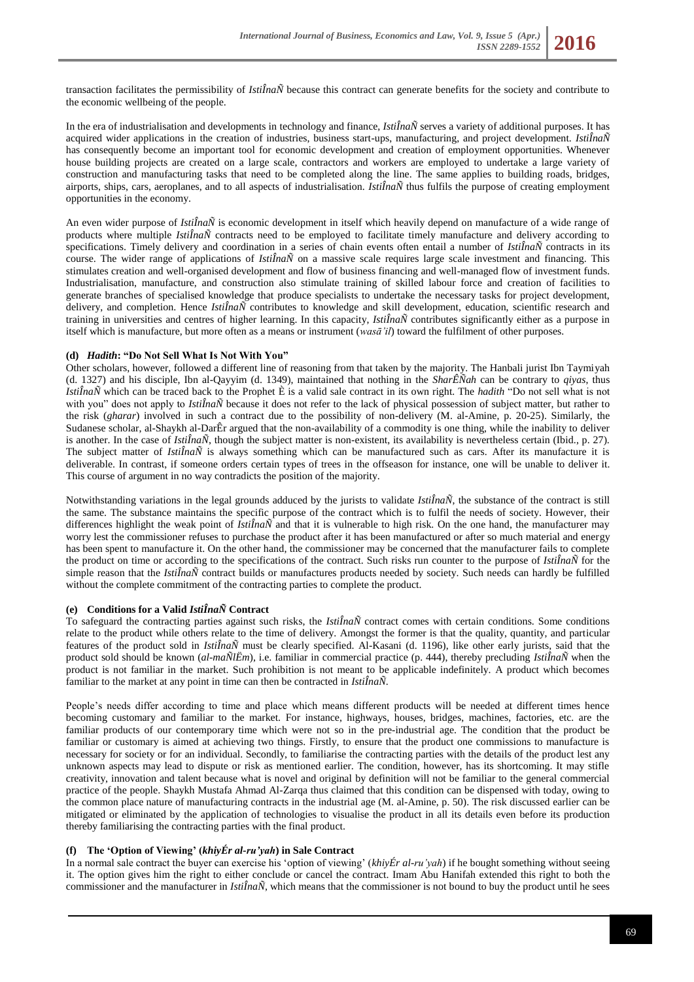transaction facilitates the permissibility of *IstiÎnaÑ* because this contract can generate benefits for the society and contribute to the economic wellbeing of the people.

In the era of industrialisation and developments in technology and finance, *IstiÎnaÑ* serves a variety of additional purposes. It has acquired wider applications in the creation of industries, business start-ups, manufacturing, and project development. *IstiÎnaÑ* has consequently become an important tool for economic development and creation of employment opportunities. Whenever house building projects are created on a large scale, contractors and workers are employed to undertake a large variety of construction and manufacturing tasks that need to be completed along the line. The same applies to building roads, bridges, airports, ships, cars, aeroplanes, and to all aspects of industrialisation. *IstiÎnaÑ* thus fulfils the purpose of creating employment opportunities in the economy.

An even wider purpose of *IstiÎnaÑ* is economic development in itself which heavily depend on manufacture of a wide range of products where multiple *IstiÎnaÑ* contracts need to be employed to facilitate timely manufacture and delivery according to specifications. Timely delivery and coordination in a series of chain events often entail a number of *IstiÎnaÑ* contracts in its course. The wider range of applications of *IstiÎnaÑ* on a massive scale requires large scale investment and financing. This stimulates creation and well-organised development and flow of business financing and well-managed flow of investment funds. Industrialisation, manufacture, and construction also stimulate training of skilled labour force and creation of facilities to generate branches of specialised knowledge that produce specialists to undertake the necessary tasks for project development, delivery, and completion. Hence *IstiÎnaÑ* contributes to knowledge and skill development, education, scientific research and training in universities and centres of higher learning. In this capacity, *IstiÎnaÑ* contributes significantly either as a purpose in itself which is manufacture, but more often as a means or instrument (*wasā'il*) toward the fulfilment of other purposes.

## **(d)** *Hadith***: "Do Not Sell What Is Not With You"**

Other scholars, however, followed a different line of reasoning from that taken by the majority. The Hanbali jurist Ibn Taymiyah (d. 1327) and his disciple, Ibn al-Qayyim (d. 1349), maintained that nothing in the *SharÊÑah* can be contrary to *qiyas*, thus *IstiÎnaÑ* which can be traced back to the Prophet È is a valid sale contract in its own right. The *hadith* "Do not sell what is not with you" does not apply to *IstiÎnaÑ* because it does not refer to the lack of physical possession of subject matter, but rather to the risk (*gharar*) involved in such a contract due to the possibility of non-delivery (M. al-Amine, p. 20-25). Similarly, the Sudanese scholar, al-Shaykh al-DarÊr argued that the non-availability of a commodity is one thing, while the inability to deliver is another. In the case of *IstiÎnaÑ*, though the subject matter is non-existent, its availability is nevertheless certain (Ibid., p. 27). The subject matter of *IstiÎnaÑ* is always something which can be manufactured such as cars. After its manufacture it is deliverable. In contrast, if someone orders certain types of trees in the offseason for instance, one will be unable to deliver it. This course of argument in no way contradicts the position of the majority.

Notwithstanding variations in the legal grounds adduced by the jurists to validate *IstiÎnaÑ*, the substance of the contract is still the same. The substance maintains the specific purpose of the contract which is to fulfil the needs of society. However, their differences highlight the weak point of *Isti* $\hat{I}n\hat{a}N$  and that it is vulnerable to high risk. On the one hand, the manufacturer may worry lest the commissioner refuses to purchase the product after it has been manufactured or after so much material and energy has been spent to manufacture it. On the other hand, the commissioner may be concerned that the manufacturer fails to complete the product on time or according to the specifications of the contract. Such risks run counter to the purpose of *IstiÎnaÑ* for the simple reason that the *IstiÎnaÑ* contract builds or manufactures products needed by society. Such needs can hardly be fulfilled without the complete commitment of the contracting parties to complete the product.

# **(e) Conditions for a Valid** *IstiÎnaÑ* **Contract**

To safeguard the contracting parties against such risks, the *IstiÎnaÑ* contract comes with certain conditions. Some conditions relate to the product while others relate to the time of delivery. Amongst the former is that the quality, quantity, and particular features of the product sold in *IstiÎnaÑ* must be clearly specified. Al-Kasani (d. 1196), like other early jurists, said that the product sold should be known (*al-maÑlËm*), i.e. familiar in commercial practice (p. 444), thereby precluding *IstiÎnaÑ* when the product is not familiar in the market. Such prohibition is not meant to be applicable indefinitely. A product which becomes familiar to the market at any point in time can then be contracted in *IstiÎnaÑ*.

People's needs differ according to time and place which means different products will be needed at different times hence becoming customary and familiar to the market. For instance, highways, houses, bridges, machines, factories, etc. are the familiar products of our contemporary time which were not so in the pre-industrial age. The condition that the product be familiar or customary is aimed at achieving two things. Firstly, to ensure that the product one commissions to manufacture is necessary for society or for an individual. Secondly, to familiarise the contracting parties with the details of the product lest any unknown aspects may lead to dispute or risk as mentioned earlier. The condition, however, has its shortcoming. It may stifle creativity, innovation and talent because what is novel and original by definition will not be familiar to the general commercial practice of the people. Shaykh Mustafa Ahmad Al-Zarqa thus claimed that this condition can be dispensed with today, owing to the common place nature of manufacturing contracts in the industrial age (M. al-Amine, p. 50). The risk discussed earlier can be mitigated or eliminated by the application of technologies to visualise the product in all its details even before its production thereby familiarising the contracting parties with the final product.

## **(f) The 'Option of Viewing' (***khiyÉr al-ru'yah***) in Sale Contract**

In a normal sale contract the buyer can exercise his 'option of viewing' (*khiyÉr al-ru'yah*) if he bought something without seeing it. The option gives him the right to either conclude or cancel the contract. Imam Abu Hanifah extended this right to both the commissioner and the manufacturer in *IstiÎnaÑ*, which means that the commissioner is not bound to buy the product until he sees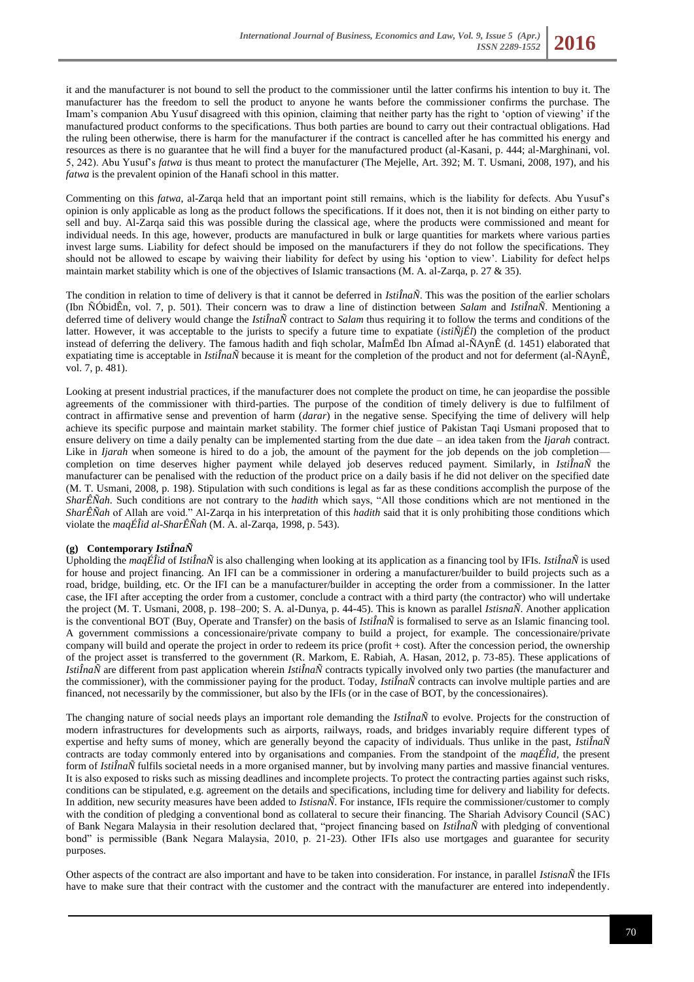it and the manufacturer is not bound to sell the product to the commissioner until the latter confirms his intention to buy it. The manufacturer has the freedom to sell the product to anyone he wants before the commissioner confirms the purchase. The Imam's companion Abu Yusuf disagreed with this opinion, claiming that neither party has the right to 'option of viewing' if the manufactured product conforms to the specifications. Thus both parties are bound to carry out their contractual obligations. Had the ruling been otherwise, there is harm for the manufacturer if the contract is cancelled after he has committed his energy and resources as there is no guarantee that he will find a buyer for the manufactured product (al-Kasani, p. 444; al-Marghinani, vol. 5, 242). Abu Yusuf's *fatwa* is thus meant to protect the manufacturer (The Mejelle, Art. 392; M. T. Usmani, 2008, 197), and his *fatwa* is the prevalent opinion of the Hanafi school in this matter.

Commenting on this *fatwa*, al-Zarqa held that an important point still remains, which is the liability for defects. Abu Yusuf's opinion is only applicable as long as the product follows the specifications. If it does not, then it is not binding on either party to sell and buy. Al-Zarqa said this was possible during the classical age, where the products were commissioned and meant for individual needs. In this age, however, products are manufactured in bulk or large quantities for markets where various parties invest large sums. Liability for defect should be imposed on the manufacturers if they do not follow the specifications. They should not be allowed to escape by waiving their liability for defect by using his 'option to view'. Liability for defect helps maintain market stability which is one of the objectives of Islamic transactions (M. A. al-Zarqa, p. 27 & 35).

The condition in relation to time of delivery is that it cannot be deferred in *IstiÎnaÑ*. This was the position of the earlier scholars (Ibn ÑÓbidÊn, vol. 7, p. 501). Their concern was to draw a line of distinction between *Salam* and *IstiÎnaÑ*. Mentioning a deferred time of delivery would change the *IstiÎnaÑ* contract to *Salam* thus requiring it to follow the terms and conditions of the latter. However, it was acceptable to the jurists to specify a future time to expatiate (*istiÑjÉl*) the completion of the product instead of deferring the delivery. The famous hadith and fiqh scholar, MaÍmËd Ibn AÍmad al-ÑAynÊ (d. 1451) elaborated that expatiating time is acceptable in *IstiÎnaÑ* because it is meant for the completion of the product and not for deferment (al-ÑAynÊ, vol. 7, p. 481).

Looking at present industrial practices, if the manufacturer does not complete the product on time, he can jeopardise the possible agreements of the commissioner with third-parties. The purpose of the condition of timely delivery is due to fulfilment of contract in affirmative sense and prevention of harm (*darar*) in the negative sense. Specifying the time of delivery will help achieve its specific purpose and maintain market stability. The former chief justice of Pakistan Taqi Usmani proposed that to ensure delivery on time a daily penalty can be implemented starting from the due date – an idea taken from the *Ijarah* contract. Like in *Ijarah* when someone is hired to do a job, the amount of the payment for the job depends on the job completion completion on time deserves higher payment while delayed job deserves reduced payment. Similarly, in *IstiÎnaÑ* the manufacturer can be penalised with the reduction of the product price on a daily basis if he did not deliver on the specified date (M. T. Usmani, 2008, p. 198). Stipulation with such conditions is legal as far as these conditions accomplish the purpose of the *SharÊÑah*. Such conditions are not contrary to the *hadith* which says, "All those conditions which are not mentioned in the *SharÊÑah* of Allah are void." Al-Zarqa in his interpretation of this *hadith* said that it is only prohibiting those conditions which violate the *maqÉÎid al-SharÊÑah* (M. A. al-Zarqa, 1998, p. 543).

## **(g) Contemporary** *IstiÎnaÑ*

Upholding the *maqÉÎid* of *IstiÎnaÑ* is also challenging when looking at its application as a financing tool by IFIs. *IstiÎnaÑ* is used for house and project financing. An IFI can be a commissioner in ordering a manufacturer/builder to build projects such as a road, bridge, building, etc. Or the IFI can be a manufacturer/builder in accepting the order from a commissioner. In the latter case, the IFI after accepting the order from a customer, conclude a contract with a third party (the contractor) who will undertake the project (M. T. Usmani, 2008, p. 198–200; S. A. al-Dunya, p. 44-45). This is known as parallel *IstisnaÑ*. Another application is the conventional BOT (Buy, Operate and Transfer) on the basis of *IstiÎnaÑ* is formalised to serve as an Islamic financing tool. A government commissions a concessionaire/private company to build a project, for example. The concessionaire/private company will build and operate the project in order to redeem its price (profit + cost). After the concession period, the ownership of the project asset is transferred to the government (R. Markom, E. Rabiah, A. Hasan, 2012, p. 73-85). These applications of *IstiÎnaÑ* are different from past application wherein *IstiÎnaÑ* contracts typically involved only two parties (the manufacturer and the commissioner), with the commissioner paying for the product. Today, *IstiÎnaÑ* contracts can involve multiple parties and are financed, not necessarily by the commissioner, but also by the IFIs (or in the case of BOT, by the concessionaires).

The changing nature of social needs plays an important role demanding the *IstiÎnaÑ* to evolve. Projects for the construction of modern infrastructures for developments such as airports, railways, roads, and bridges invariably require different types of expertise and hefty sums of money, which are generally beyond the capacity of individuals. Thus unlike in the past, *IstiÎnaÑ* contracts are today commonly entered into by organisations and companies. From the standpoint of the *maqÉÎid*, the present form of *IstiÎnaÑ* fulfils societal needs in a more organised manner, but by involving many parties and massive financial ventures. It is also exposed to risks such as missing deadlines and incomplete projects. To protect the contracting parties against such risks, conditions can be stipulated, e.g. agreement on the details and specifications, including time for delivery and liability for defects. In addition, new security measures have been added to *IstisnaÑ*. For instance, IFIs require the commissioner/customer to comply with the condition of pledging a conventional bond as collateral to secure their financing. The Shariah Advisory Council (SAC) of Bank Negara Malaysia in their resolution declared that, "project financing based on *IstiÎnaÑ* with pledging of conventional bond" is permissible (Bank Negara Malaysia, 2010, p. 21-23). Other IFIs also use mortgages and guarantee for security purposes.

Other aspects of the contract are also important and have to be taken into consideration. For instance, in parallel *IstisnaÑ* the IFIs have to make sure that their contract with the customer and the contract with the manufacturer are entered into independently.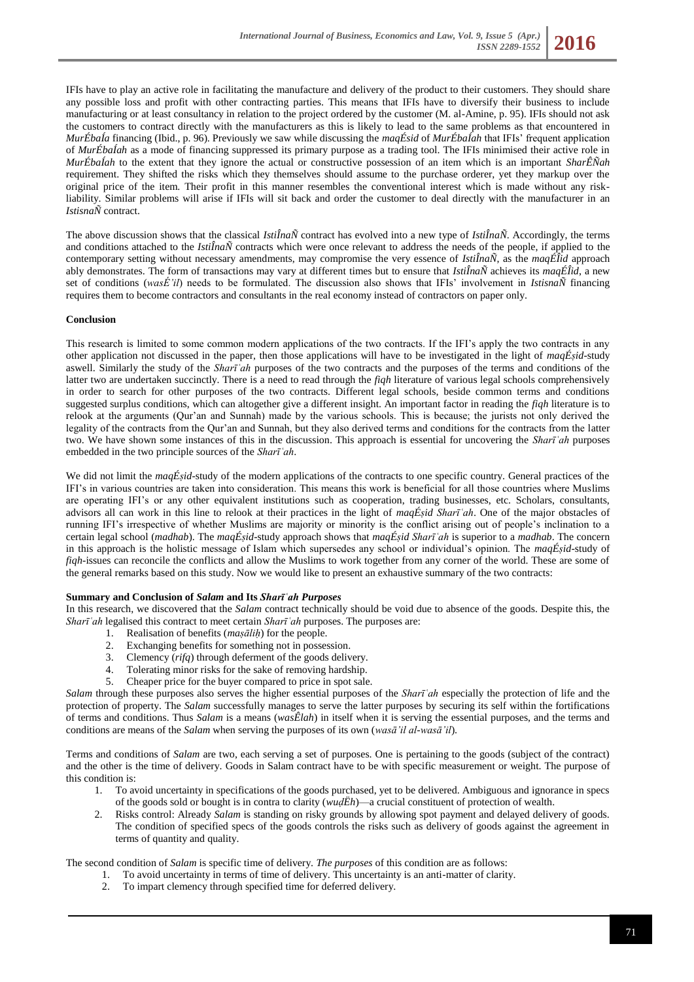IFIs have to play an active role in facilitating the manufacture and delivery of the product to their customers. They should share any possible loss and profit with other contracting parties. This means that IFIs have to diversify their business to include manufacturing or at least consultancy in relation to the project ordered by the customer (M. al-Amine, p. 95). IFIs should not ask the customers to contract directly with the manufacturers as this is likely to lead to the same problems as that encountered in *MurÉbaÍa* financing (Ibid., p. 96). Previously we saw while discussing the *maqÉsid* of *MurÉbaÍah* that IFIs' frequent application of *MurÉbaÍah* as a mode of financing suppressed its primary purpose as a trading tool. The IFIs minimised their active role in *MurÉbaÍah* to the extent that they ignore the actual or constructive possession of an item which is an important *SharÊÑah*  requirement. They shifted the risks which they themselves should assume to the purchase orderer, yet they markup over the original price of the item. Their profit in this manner resembles the conventional interest which is made without any riskliability. Similar problems will arise if IFIs will sit back and order the customer to deal directly with the manufacturer in an *IstisnaÑ* contract.

The above discussion shows that the classical *IstiÎnaÑ* contract has evolved into a new type of *IstiÎnaÑ*. Accordingly, the terms and conditions attached to the *IstiÎnaÑ* contracts which were once relevant to address the needs of the people, if applied to the contemporary setting without necessary amendments, may compromise the very essence of *IstiÎnaÑ*, as the *maqÉÎid* approach ably demonstrates. The form of transactions may vary at different times but to ensure that *IstiÎnaÑ* achieves its *maqÉÎid*, a new set of conditions (*wasÉ'il*) needs to be formulated. The discussion also shows that IFIs' involvement in *IstisnaÑ* financing requires them to become contractors and consultants in the real economy instead of contractors on paper only.

## **Conclusion**

This research is limited to some common modern applications of the two contracts. If the IFI's apply the two contracts in any other application not discussed in the paper, then those applications will have to be investigated in the light of *maqÉṣid*-study aswell. Similarly the study of the *Sharīʿah* purposes of the two contracts and the purposes of the terms and conditions of the latter two are undertaken succinctly. There is a need to read through the *fiqh* literature of various legal schools comprehensively in order to search for other purposes of the two contracts. Different legal schools, beside common terms and conditions suggested surplus conditions, which can altogether give a different insight. An important factor in reading the *fiqh* literature is to relook at the arguments (Qur'an and Sunnah) made by the various schools. This is because; the jurists not only derived the legality of the contracts from the Qur'an and Sunnah, but they also derived terms and conditions for the contracts from the latter two. We have shown some instances of this in the discussion. This approach is essential for uncovering the *Sharīʿah* purposes embedded in the two principle sources of the *Sharīʿah*.

We did not limit the *maqÉsid*-study of the modern applications of the contracts to one specific country. General practices of the IFI's in various countries are taken into consideration. This means this work is beneficial for all those countries where Muslims are operating IFI's or any other equivalent institutions such as cooperation, trading businesses, etc. Scholars, consultants, advisors all can work in this line to relook at their practices in the light of *maqÉṣid Sharīʿah*. One of the major obstacles of running IFI's irrespective of whether Muslims are majority or minority is the conflict arising out of people's inclination to a certain legal school (*madhab*). The *maqÉṣid*-study approach shows that *maqÉṣid Sharīʿah* is superior to a *madhab*. The concern in this approach is the holistic message of Islam which supersedes any school or individual's opinion. The *maqÉṣid*-study of *fiqh*-issues can reconcile the conflicts and allow the Muslims to work together from any corner of the world. These are some of the general remarks based on this study. Now we would like to present an exhaustive summary of the two contracts:

## **Summary and Conclusion of** *Salam* **and Its** *Sharīʿah Purposes*

In this research, we discovered that the *Salam* contract technically should be void due to absence of the goods. Despite this, the *Sharīʿah* legalised this contract to meet certain *Sharīʿah* purposes. The purposes are:

- 1. Realisation of benefits (*maṣāliḥ*) for the people.
- 2. Exchanging benefits for something not in possession.
- 3. Clemency (*rifq*) through deferment of the goods delivery.
- 4. Tolerating minor risks for the sake of removing hardship.<br>5. Cheaper price for the buyer compared to price in spot sale
- 5. Cheaper price for the buyer compared to price in spot sale.

*Salam* through these purposes also serves the higher essential purposes of the *Sharīʿah* especially the protection of life and the protection of property. The *Salam* successfully manages to serve the latter purposes by securing its self within the fortifications of terms and conditions. Thus *Salam* is a means (*wasÊlah*) in itself when it is serving the essential purposes, and the terms and conditions are means of the *Salam* when serving the purposes of its own (*wasā'il al-wasā'il*).

Terms and conditions of *Salam* are two, each serving a set of purposes. One is pertaining to the goods (subject of the contract) and the other is the time of delivery. Goods in Salam contract have to be with specific measurement or weight. The purpose of this condition is:

- 1. To avoid uncertainty in specifications of the goods purchased, yet to be delivered. Ambiguous and ignorance in specs of the goods sold or bought is in contra to clarity (*wuḍËh*)—a crucial constituent of protection of wealth.
- 2. Risks control: Already *Salam* is standing on risky grounds by allowing spot payment and delayed delivery of goods. The condition of specified specs of the goods controls the risks such as delivery of goods against the agreement in terms of quantity and quality.

The second condition of *Salam* is specific time of delivery. *The purposes* of this condition are as follows:

- 1. To avoid uncertainty in terms of time of delivery. This uncertainty is an anti-matter of clarity.
	- 2. To impart clemency through specified time for deferred delivery.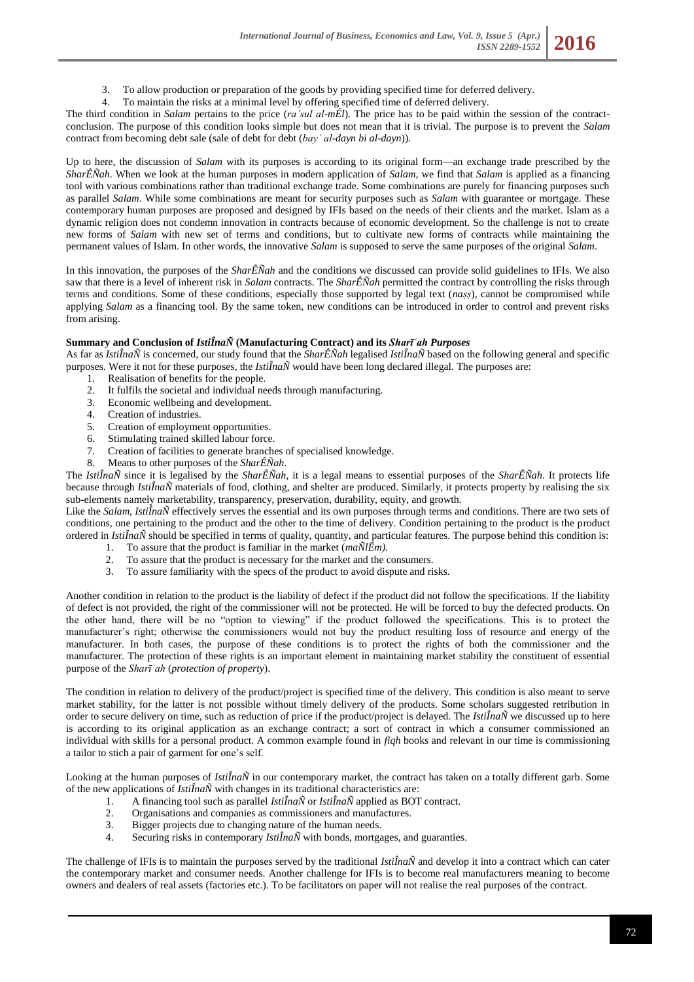- 3. To allow production or preparation of the goods by providing specified time for deferred delivery.
- 4. To maintain the risks at a minimal level by offering specified time of deferred delivery.

The third condition in *Salam* pertains to the price (*ra'sul al-mÉl*). The price has to be paid within the session of the contractconclusion. The purpose of this condition looks simple but does not mean that it is trivial. The purpose is to prevent the *Salam* contract from becoming debt sale (sale of debt for debt (*bayʿ al-dayn bi al-dayn*)).

Up to here, the discussion of *Salam* with its purposes is according to its original form—an exchange trade prescribed by the *SharÊÑah*. When we look at the human purposes in modern application of *Salam*, we find that *Salam* is applied as a financing tool with various combinations rather than traditional exchange trade. Some combinations are purely for financing purposes such as parallel *Salam*. While some combinations are meant for security purposes such as *Salam* with guarantee or mortgage. These contemporary human purposes are proposed and designed by IFIs based on the needs of their clients and the market. Islam as a dynamic religion does not condemn innovation in contracts because of economic development. So the challenge is not to create new forms of *Salam* with new set of terms and conditions, but to cultivate new forms of contracts while maintaining the permanent values of Islam. In other words, the innovative *Salam* is supposed to serve the same purposes of the original *Salam*.

In this innovation, the purposes of the *SharÊÑah* and the conditions we discussed can provide solid guidelines to IFIs. We also saw that there is a level of inherent risk in *Salam* contracts. The *SharÊÑah* permitted the contract by controlling the risks through terms and conditions. Some of these conditions, especially those supported by legal text (*naṣṣ*), cannot be compromised while applying *Salam* as a financing tool. By the same token, new conditions can be introduced in order to control and prevent risks from arising.

## **Summary and Conclusion of** *IstiÎnaÑ* **(Manufacturing Contract) and its** *Sharīʿah Purposes*

As far as *IstiÎnaÑ* is concerned, our study found that the *SharÊÑah* legalised *IstiÎnaÑ* based on the following general and specific purposes. Were it not for these purposes, the *IstiÎnaÑ* would have been long declared illegal. The purposes are:

- 1. Realisation of benefits for the people.
- 2. It fulfils the societal and individual needs through manufacturing.
- 3. Economic wellbeing and development.
- 4. Creation of industries.
- 5. Creation of employment opportunities.
- 6. Stimulating trained skilled labour force.
- 7. Creation of facilities to generate branches of specialised knowledge.
- 8. Means to other purposes of the *SharÊÑah*.

The *IstiÎnaÑ* since it is legalised by the *SharÊÑah*, it is a legal means to essential purposes of the *SharÊÑah*. It protects life because through *IstiÎnaÑ* materials of food, clothing, and shelter are produced. Similarly, it protects property by realising the six sub-elements namely marketability, transparency, preservation, durability, equity, and growth.

Like the *Salam*, *IstifnaÑ* effectively serves the essential and its own purposes through terms and conditions. There are two sets of conditions, one pertaining to the product and the other to the time of delivery. Condition pertaining to the product is the product ordered in *IstiÎnaÑ* should be specified in terms of quality, quantity, and particular features. The purpose behind this condition is:

- 1. To assure that the product is familiar in the market (*maÑlËm).*
- 2. To assure that the product is necessary for the market and the consumers.
- 3. To assure familiarity with the specs of the product to avoid dispute and risks.

Another condition in relation to the product is the liability of defect if the product did not follow the specifications. If the liability of defect is not provided, the right of the commissioner will not be protected. He will be forced to buy the defected products. On the other hand, there will be no "option to viewing" if the product followed the specifications. This is to protect the manufacturer's right; otherwise the commissioners would not buy the product resulting loss of resource and energy of the manufacturer. In both cases, the purpose of these conditions is to protect the rights of both the commissioner and the manufacturer. The protection of these rights is an important element in maintaining market stability the constituent of essential purpose of the *Sharīʿah* (*protection of property*).

The condition in relation to delivery of the product/project is specified time of the delivery. This condition is also meant to serve market stability, for the latter is not possible without timely delivery of the products. Some scholars suggested retribution in order to secure delivery on time, such as reduction of price if the product/project is delayed. The *IstiÎnaÑ* we discussed up to here is according to its original application as an exchange contract; a sort of contract in which a consumer commissioned an individual with skills for a personal product. A common example found in *fiqh* books and relevant in our time is commissioning a tailor to stich a pair of garment for one's self.

Looking at the human purposes of *IstiÎnaÑ* in our contemporary market, the contract has taken on a totally different garb. Some of the new applications of *IstiÎnaÑ* with changes in its traditional characteristics are:

- 1. A financing tool such as parallel *IstiÎnaÑ* or *IstiÎnaÑ* applied as BOT contract.
- 2. Organisations and companies as commissioners and manufactures.
- 3. Bigger projects due to changing nature of the human needs.
- 4. Securing risks in contemporary *IstiÎnaÑ* with bonds, mortgages, and guaranties.

The challenge of IFIs is to maintain the purposes served by the traditional *IstiÎnaÑ* and develop it into a contract which can cater the contemporary market and consumer needs. Another challenge for IFIs is to become real manufacturers meaning to become owners and dealers of real assets (factories etc.). To be facilitators on paper will not realise the real purposes of the contract.